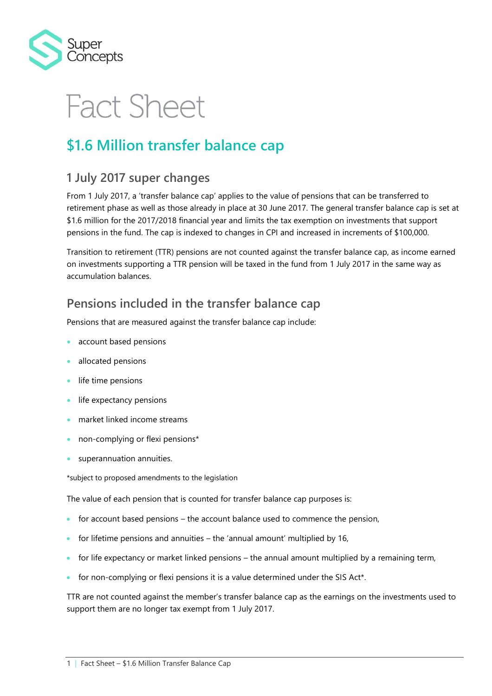

# **Fact Sheet**

### **\$1.6 Million transfer balance cap**

### **1 July 2017 super changes**

From 1 July 2017, a 'transfer balance cap' applies to the value of pensions that can be transferred to retirement phase as well as those already in place at 30 June 2017. The general transfer balance cap is set at \$1.6 million for the 2017/2018 financial year and limits the tax exemption on investments that support pensions in the fund. The cap is indexed to changes in CPI and increased in increments of \$100,000.

Transition to retirement (TTR) pensions are not counted against the transfer balance cap, as income earned on investments supporting a TTR pension will be taxed in the fund from 1 July 2017 in the same way as accumulation balances.

### **Pensions included in the transfer balance cap**

Pensions that are measured against the transfer balance cap include:

- account based pensions
- allocated pensions
- life time pensions
- life expectancy pensions
- market linked income streams
- non-complying or flexi pensions\*
- superannuation annuities.

\*subject to proposed amendments to the legislation

The value of each pension that is counted for transfer balance cap purposes is:

- for account based pensions the account balance used to commence the pension,
- for lifetime pensions and annuities the 'annual amount' multiplied by 16,
- for life expectancy or market linked pensions the annual amount multiplied by a remaining term,
- for non-complying or flexi pensions it is a value determined under the SIS Act\*.

TTR are not counted against the member's transfer balance cap as the earnings on the investments used to support them are no longer tax exempt from 1 July 2017.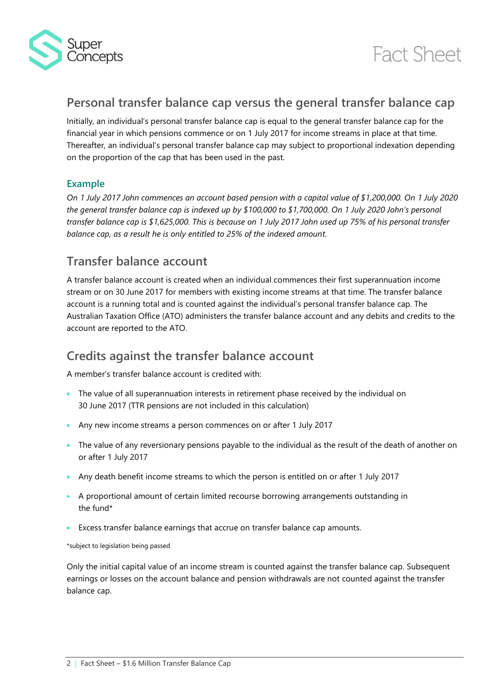



### **Personal transfer balance cap versus the general transfer balance cap**

Initially, an individual's personal transfer balance cap is equal to the general transfer balance cap for the financial year in which pensions commence or on 1 July 2017 for income streams in place at that time. Thereafter, an individual's personal transfer balance cap may subject to proportional indexation depending on the proportion of the cap that has been used in the past.

#### **Example**

*On 1 July 2017 John commences an account based pension with a capital value of \$1,200,000. On 1 July 2020 the general transfer balance cap is indexed up by \$100,000 to \$1,700,000. On 1 July 2020 John's personal transfer balance cap is \$1,625,000. This is because on 1 July 2017 John used up 75% of his personal transfer balance cap, as a result he is only entitled to 25% of the indexed amount.*

### **Transfer balance account**

A transfer balance account is created when an individual commences their first superannuation income stream or on 30 June 2017 for members with existing income streams at that time. The transfer balance account is a running total and is counted against the individual's personal transfer balance cap. The Australian Taxation Office (ATO) administers the transfer balance account and any debits and credits to the account are reported to the ATO.

### **Credits against the transfer balance account**

A member's transfer balance account is credited with:

- The value of all superannuation interests in retirement phase received by the individual on 30 June 2017 (TTR pensions are not included in this calculation)
- Any new income streams a person commences on or after 1 July 2017
- The value of any reversionary pensions payable to the individual as the result of the death of another on or after 1 July 2017
- Any death benefit income streams to which the person is entitled on or after 1 July 2017
- A proportional amount of certain limited recourse borrowing arrangements outstanding in the fund\*
- Excess transfer balance earnings that accrue on transfer balance cap amounts.

\*subject to legislation being passed

Only the initial capital value of an income stream is counted against the transfer balance cap. Subsequent earnings or losses on the account balance and pension withdrawals are not counted against the transfer balance cap.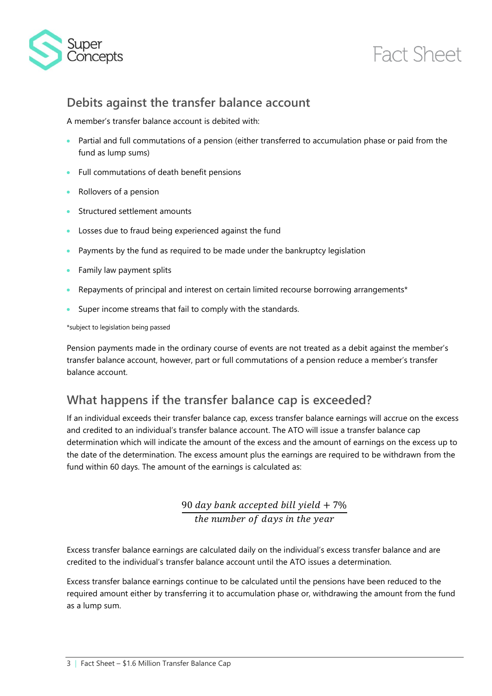

## **Fact Sheet**

### **Debits against the transfer balance account**

A member's transfer balance account is debited with:

- Partial and full commutations of a pension (either transferred to accumulation phase or paid from the fund as lump sums)
- Full commutations of death benefit pensions
- Rollovers of a pension
- **Structured settlement amounts**
- Losses due to fraud being experienced against the fund
- Payments by the fund as required to be made under the bankruptcy legislation
- **•** Family law payment splits
- Repayments of principal and interest on certain limited recourse borrowing arrangements\*
- Super income streams that fail to comply with the standards.

\*subject to legislation being passed

Pension payments made in the ordinary course of events are not treated as a debit against the member's transfer balance account, however, part or full commutations of a pension reduce a member's transfer balance account.

### **What happens if the transfer balance cap is exceeded?**

If an individual exceeds their transfer balance cap, excess transfer balance earnings will accrue on the excess and credited to an individual's transfer balance account. The ATO will issue a transfer balance cap determination which will indicate the amount of the excess and the amount of earnings on the excess up to the date of the determination. The excess amount plus the earnings are required to be withdrawn from the fund within 60 days. The amount of the earnings is calculated as:

> 90 day bank accepted bill yield  $+7\%$ the number of days in the year

Excess transfer balance earnings are calculated daily on the individual's excess transfer balance and are credited to the individual's transfer balance account until the ATO issues a determination.

Excess transfer balance earnings continue to be calculated until the pensions have been reduced to the required amount either by transferring it to accumulation phase or, withdrawing the amount from the fund as a lump sum.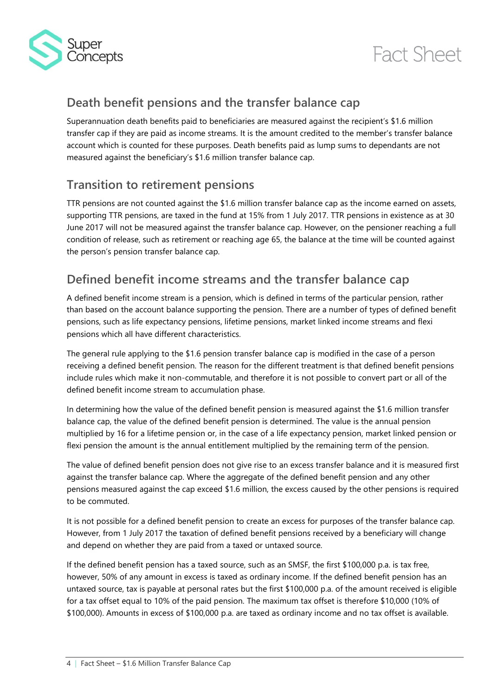



### **Death benefit pensions and the transfer balance cap**

Superannuation death benefits paid to beneficiaries are measured against the recipient's \$1.6 million transfer cap if they are paid as income streams. It is the amount credited to the member's transfer balance account which is counted for these purposes. Death benefits paid as lump sums to dependants are not measured against the beneficiary's \$1.6 million transfer balance cap.

### **Transition to retirement pensions**

TTR pensions are not counted against the \$1.6 million transfer balance cap as the income earned on assets, supporting TTR pensions, are taxed in the fund at 15% from 1 July 2017. TTR pensions in existence as at 30 June 2017 will not be measured against the transfer balance cap. However, on the pensioner reaching a full condition of release, such as retirement or reaching age 65, the balance at the time will be counted against the person's pension transfer balance cap.

### **Defined benefit income streams and the transfer balance cap**

A defined benefit income stream is a pension, which is defined in terms of the particular pension, rather than based on the account balance supporting the pension. There are a number of types of defined benefit pensions, such as life expectancy pensions, lifetime pensions, market linked income streams and flexi pensions which all have different characteristics.

The general rule applying to the \$1.6 pension transfer balance cap is modified in the case of a person receiving a defined benefit pension. The reason for the different treatment is that defined benefit pensions include rules which make it non-commutable, and therefore it is not possible to convert part or all of the defined benefit income stream to accumulation phase.

In determining how the value of the defined benefit pension is measured against the \$1.6 million transfer balance cap, the value of the defined benefit pension is determined. The value is the annual pension multiplied by 16 for a lifetime pension or, in the case of a life expectancy pension, market linked pension or flexi pension the amount is the annual entitlement multiplied by the remaining term of the pension.

The value of defined benefit pension does not give rise to an excess transfer balance and it is measured first against the transfer balance cap. Where the aggregate of the defined benefit pension and any other pensions measured against the cap exceed \$1.6 million, the excess caused by the other pensions is required to be commuted.

It is not possible for a defined benefit pension to create an excess for purposes of the transfer balance cap. However, from 1 July 2017 the taxation of defined benefit pensions received by a beneficiary will change and depend on whether they are paid from a taxed or untaxed source.

If the defined benefit pension has a taxed source, such as an SMSF, the first \$100,000 p.a. is tax free, however, 50% of any amount in excess is taxed as ordinary income. If the defined benefit pension has an untaxed source, tax is payable at personal rates but the first \$100,000 p.a. of the amount received is eligible for a tax offset equal to 10% of the paid pension. The maximum tax offset is therefore \$10,000 (10% of \$100,000). Amounts in excess of \$100,000 p.a. are taxed as ordinary income and no tax offset is available.